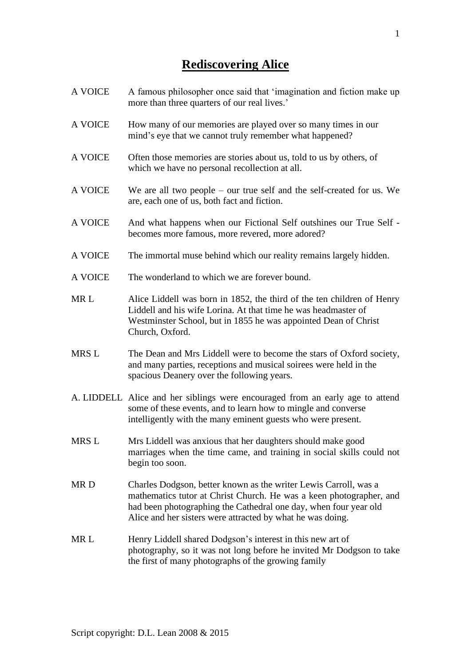# **Rediscovering Alice**

- A VOICE A famous philosopher once said that 'imagination and fiction make up more than three quarters of our real lives.'
- A VOICE How many of our memories are played over so many times in our mind's eye that we cannot truly remember what happened?
- A VOICE Often those memories are stories about us, told to us by others, of which we have no personal recollection at all.
- A VOICE We are all two people our true self and the self-created for us. We are, each one of us, both fact and fiction.
- A VOICE And what happens when our Fictional Self outshines our True Self becomes more famous, more revered, more adored?
- A VOICE The immortal muse behind which our reality remains largely hidden.
- A VOICE The wonderland to which we are forever bound.
- MR L Alice Liddell was born in 1852, the third of the ten children of Henry Liddell and his wife Lorina. At that time he was headmaster of Westminster School, but in 1855 he was appointed Dean of Christ Church, Oxford.
- MRS L The Dean and Mrs Liddell were to become the stars of Oxford society, and many parties, receptions and musical soirees were held in the spacious Deanery over the following years.
- A. LIDDELL Alice and her siblings were encouraged from an early age to attend some of these events, and to learn how to mingle and converse intelligently with the many eminent guests who were present.
- MRS L Mrs Liddell was anxious that her daughters should make good marriages when the time came, and training in social skills could not begin too soon.
- MR D Charles Dodgson, better known as the writer Lewis Carroll, was a mathematics tutor at Christ Church. He was a keen photographer, and had been photographing the Cathedral one day, when four year old Alice and her sisters were attracted by what he was doing.
- MR L Henry Liddell shared Dodgson's interest in this new art of photography, so it was not long before he invited Mr Dodgson to take the first of many photographs of the growing family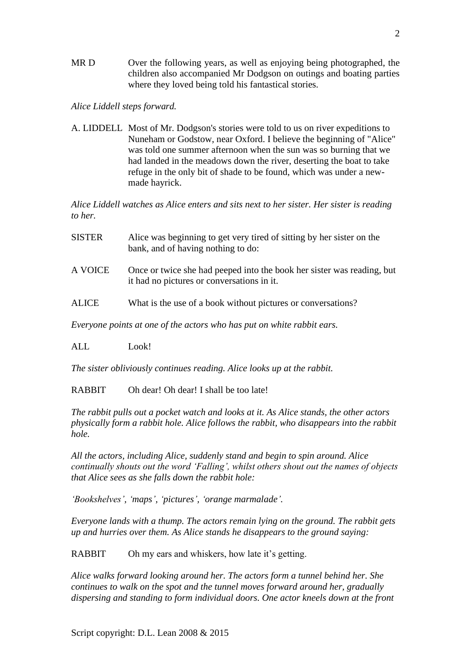MR D Over the following years, as well as enjoying being photographed, the children also accompanied Mr Dodgson on outings and boating parties where they loved being told his fantastical stories.

### *Alice Liddell steps forward.*

A. LIDDELL Most of Mr. Dodgson's stories were told to us on river expeditions to Nuneham or Godstow, near Oxford. I believe the beginning of "Alice" was told one summer afternoon when the sun was so burning that we had landed in the meadows down the river, deserting the boat to take refuge in the only bit of shade to be found, which was under a newmade hayrick.

*Alice Liddell watches as Alice enters and sits next to her sister. Her sister is reading to her.*

- SISTER Alice was beginning to get very tired of sitting by her sister on the bank, and of having nothing to do:
- A VOICE Once or twice she had peeped into the book her sister was reading, but it had no pictures or conversations in it.
- ALICE What is the use of a book without pictures or conversations?

*Everyone points at one of the actors who has put on white rabbit ears.*

ALL Look!

*The sister obliviously continues reading. Alice looks up at the rabbit.*

RABBIT Oh dear! Oh dear! I shall be too late!

*The rabbit pulls out a pocket watch and looks at it. As Alice stands, the other actors physically form a rabbit hole. Alice follows the rabbit, who disappears into the rabbit hole.*

*All the actors, including Alice, suddenly stand and begin to spin around. Alice continually shouts out the word 'Falling', whilst others shout out the names of objects that Alice sees as she falls down the rabbit hole:*

*'Bookshelves', 'maps', 'pictures', 'orange marmalade'.*

*Everyone lands with a thump. The actors remain lying on the ground. The rabbit gets up and hurries over them. As Alice stands he disappears to the ground saying:*

RABBIT Oh my ears and whiskers, how late it's getting.

*Alice walks forward looking around her. The actors form a tunnel behind her. She continues to walk on the spot and the tunnel moves forward around her, gradually dispersing and standing to form individual doors. One actor kneels down at the front*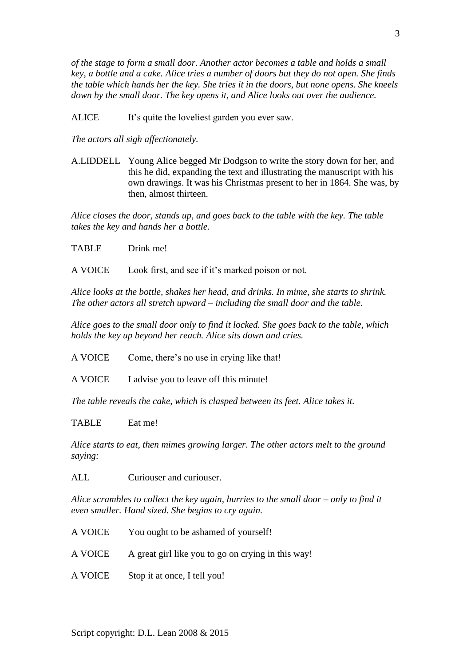*of the stage to form a small door. Another actor becomes a table and holds a small key, a bottle and a cake. Alice tries a number of doors but they do not open. She finds the table which hands her the key. She tries it in the doors, but none opens. She kneels down by the small door. The key opens it, and Alice looks out over the audience.*

ALICE It's quite the loveliest garden you ever saw.

*The actors all sigh affectionately.*

A.LIDDELL Young Alice begged Mr Dodgson to write the story down for her, and this he did, expanding the text and illustrating the manuscript with his own drawings. It was his Christmas present to her in 1864. She was, by then, almost thirteen.

*Alice closes the door, stands up, and goes back to the table with the key. The table takes the key and hands her a bottle.*

TABLE Drink me!

A VOICE Look first, and see if it's marked poison or not.

*Alice looks at the bottle, shakes her head, and drinks. In mime, she starts to shrink. The other actors all stretch upward – including the small door and the table.*

*Alice goes to the small door only to find it locked. She goes back to the table, which holds the key up beyond her reach. Alice sits down and cries.*

A VOICE Come, there's no use in crying like that!

A VOICE I advise you to leave off this minute!

*The table reveals the cake, which is clasped between its feet. Alice takes it.*

TABLE Eat me!

*Alice starts to eat, then mimes growing larger. The other actors melt to the ground saying:*

ALL Curiouser and curiouser.

*Alice scrambles to collect the key again, hurries to the small door – only to find it even smaller. Hand sized. She begins to cry again.*

A VOICE You ought to be ashamed of yourself! A VOICE A great girl like you to go on crying in this way! A VOICE Stop it at once, I tell you!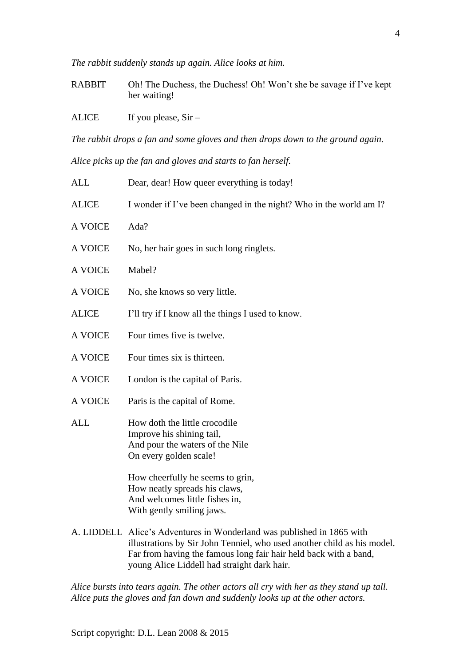*The rabbit suddenly stands up again. Alice looks at him.*

RABBIT Oh! The Duchess, the Duchess! Oh! Won't she be savage if I've kept her waiting!

ALICE If you please,  $Sir -$ 

*The rabbit drops a fan and some gloves and then drops down to the ground again.*

*Alice picks up the fan and gloves and starts to fan herself.*

| <b>ALL</b>   | Dear, dear! How queer everything is today!                                                                                                        |
|--------------|---------------------------------------------------------------------------------------------------------------------------------------------------|
| <b>ALICE</b> | I wonder if I've been changed in the night? Who in the world am I?                                                                                |
| A VOICE      | Ada?                                                                                                                                              |
| A VOICE      | No, her hair goes in such long ringlets.                                                                                                          |
| A VOICE      | Mabel?                                                                                                                                            |
| A VOICE      | No, she knows so very little.                                                                                                                     |
| <b>ALICE</b> | I'll try if I know all the things I used to know.                                                                                                 |
| A VOICE      | Four times five is twelve.                                                                                                                        |
| A VOICE      | Four times six is thirteen.                                                                                                                       |
| A VOICE      | London is the capital of Paris.                                                                                                                   |
| A VOICE      | Paris is the capital of Rome.                                                                                                                     |
| <b>ALL</b>   | How doth the little crocodile<br>Improve his shining tail,<br>And pour the waters of the Nile<br>On every golden scale!                           |
|              | How cheerfully he seems to grin,<br>How neatly spreads his claws,<br>And welcomes little fishes in,<br>With gently smiling jaws.                  |
|              | A. LIDDELL Alice's Adventures in Wonderland was published in 1865 with<br>illustrations by Sir John Tenniel, who used another child as his model. |

Far from having the famous long fair hair held back with a band, young Alice Liddell had straight dark hair.

*Alice bursts into tears again. The other actors all cry with her as they stand up tall. Alice puts the gloves and fan down and suddenly looks up at the other actors.*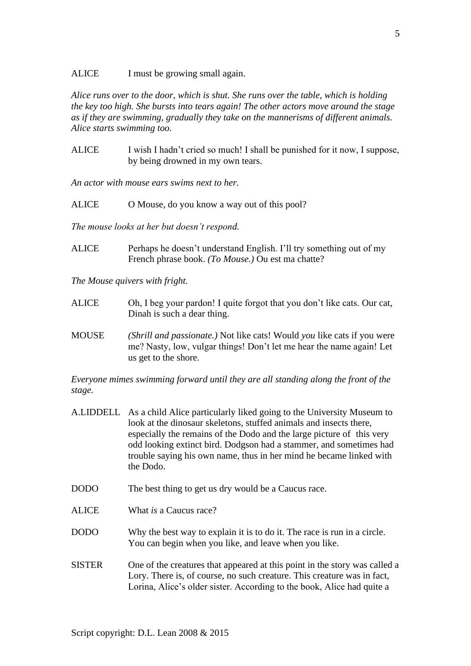ALICE I must be growing small again.

*Alice runs over to the door, which is shut. She runs over the table, which is holding the key too high. She bursts into tears again! The other actors move around the stage as if they are swimming, gradually they take on the mannerisms of different animals. Alice starts swimming too.*

ALICE I wish I hadn't cried so much! I shall be punished for it now, I suppose, by being drowned in my own tears.

*An actor with mouse ears swims next to her.*

ALICE O Mouse, do you know a way out of this pool?

*The mouse looks at her but doesn't respond.*

ALICE Perhaps he doesn't understand English. I'll try something out of my French phrase book. *(To Mouse.)* Ou est ma chatte?

*The Mouse quivers with fright.*

- ALICE Oh, I beg your pardon! I quite forgot that you don't like cats. Our cat, Dinah is such a dear thing.
- MOUSE *(Shrill and passionate.)* Not like cats! Would *you* like cats if you were me? Nasty, low, vulgar things! Don't let me hear the name again! Let us get to the shore.

*Everyone mimes swimming forward until they are all standing along the front of the stage.*

- A.LIDDELL As a child Alice particularly liked going to the University Museum to look at the dinosaur skeletons, stuffed animals and insects there, especially the remains of the Dodo and the large picture of this very odd looking extinct bird. Dodgson had a stammer, and sometimes had trouble saying his own name, thus in her mind he became linked with the Dodo.
- DODO The best thing to get us dry would be a Caucus race.
- ALICE What *is* a Caucus race?
- DODO Why the best way to explain it is to do it. The race is run in a circle. You can begin when you like, and leave when you like.
- SISTER One of the creatures that appeared at this point in the story was called a Lory. There is, of course, no such creature. This creature was in fact, Lorina, Alice's older sister. According to the book, Alice had quite a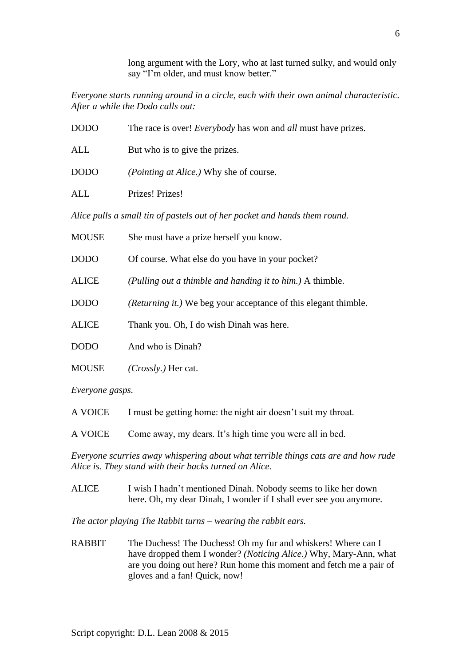long argument with the Lory, who at last turned sulky, and would only say "I'm older, and must know better."

*Everyone starts running around in a circle, each with their own animal characteristic. After a while the Dodo calls out:*

| <b>DODO</b>                                                                | The race is over! <i>Everybody</i> has won and <i>all</i> must have prizes. |
|----------------------------------------------------------------------------|-----------------------------------------------------------------------------|
| ALL                                                                        | But who is to give the prizes.                                              |
| <b>DODO</b>                                                                | <i>(Pointing at Alice.)</i> Why she of course.                              |
| ALL                                                                        | Prizes! Prizes!                                                             |
| Alice pulls a small tin of pastels out of her pocket and hands them round. |                                                                             |

| <b>MOUSE</b> | She must have a prize herself you know.                                |
|--------------|------------------------------------------------------------------------|
| <b>DODO</b>  | Of course. What else do you have in your pocket?                       |
| <b>ALICE</b> | (Pulling out a thimble and handing it to him.) A thimble.              |
| <b>DODO</b>  | <i>(Returning it.)</i> We beg your acceptance of this elegant thimble. |
| <b>ALICE</b> | Thank you. Oh, I do wish Dinah was here.                               |
| <b>DODO</b>  | And who is Dinah?                                                      |
| <b>MOUSE</b> | <i>(Crossly.)</i> Her cat.                                             |

*Everyone gasps.*

| A VOICE | I must be getting home: the night air doesn't suit my throat. |  |  |
|---------|---------------------------------------------------------------|--|--|
|---------|---------------------------------------------------------------|--|--|

A VOICE Come away, my dears. It's high time you were all in bed.

*Everyone scurries away whispering about what terrible things cats are and how rude Alice is. They stand with their backs turned on Alice.*

ALICE I wish I hadn't mentioned Dinah. Nobody seems to like her down here. Oh, my dear Dinah, I wonder if I shall ever see you anymore.

*The actor playing The Rabbit turns – wearing the rabbit ears.*

RABBIT The Duchess! The Duchess! Oh my fur and whiskers! Where can I have dropped them I wonder? *(Noticing Alice.)* Why, Mary-Ann, what are you doing out here? Run home this moment and fetch me a pair of gloves and a fan! Quick, now!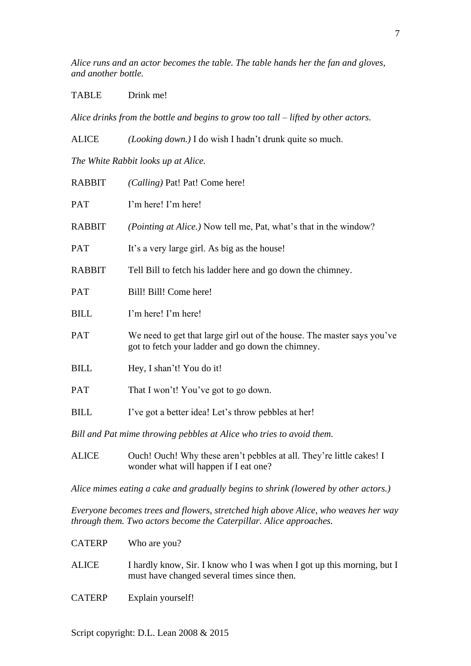*Alice runs and an actor becomes the table. The table hands her the fan and gloves, and another bottle.*

TABLE Drink me!

*Alice drinks from the bottle and begins to grow too tall – lifted by other actors.*

ALICE *(Looking down.)* I do wish I hadn't drunk quite so much. *The White Rabbit looks up at Alice.*

| <b>RABBIT</b>                                                        | (Calling) Pat! Pat! Come here!                                                                                               |  |
|----------------------------------------------------------------------|------------------------------------------------------------------------------------------------------------------------------|--|
| PAT                                                                  | I'm here! I'm here!                                                                                                          |  |
| <b>RABBIT</b>                                                        | ( <i>Pointing at Alice.</i> ) Now tell me, Pat, what's that in the window?                                                   |  |
| <b>PAT</b>                                                           | It's a very large girl. As big as the house!                                                                                 |  |
| <b>RABBIT</b>                                                        | Tell Bill to fetch his ladder here and go down the chimney.                                                                  |  |
| <b>PAT</b>                                                           | Bill! Bill! Come here!                                                                                                       |  |
| <b>BILL</b>                                                          | I'm here! I'm here!                                                                                                          |  |
| PAT                                                                  | We need to get that large girl out of the house. The master says you've<br>got to fetch your ladder and go down the chimney. |  |
| <b>BILL</b>                                                          | Hey, I shan't! You do it!                                                                                                    |  |
| <b>PAT</b>                                                           | That I won't! You've got to go down.                                                                                         |  |
| <b>BILL</b>                                                          | I've got a better idea! Let's throw pebbles at her!                                                                          |  |
| Bill and Pat mime throwing pebbles at Alice who tries to avoid them. |                                                                                                                              |  |
|                                                                      |                                                                                                                              |  |

ALICE Ouch! Ouch! Why these aren't pebbles at all. They're little cakes! I wonder what will happen if I eat one?

*Alice mimes eating a cake and gradually begins to shrink (lowered by other actors.)* 

*Everyone becomes trees and flowers, stretched high above Alice, who weaves her way through them. Two actors become the Caterpillar. Alice approaches.*

- CATERP Who are you? ALICE I hardly know, Sir. I know who I was when I got up this morning, but I must have changed several times since then.
- CATERP Explain yourself!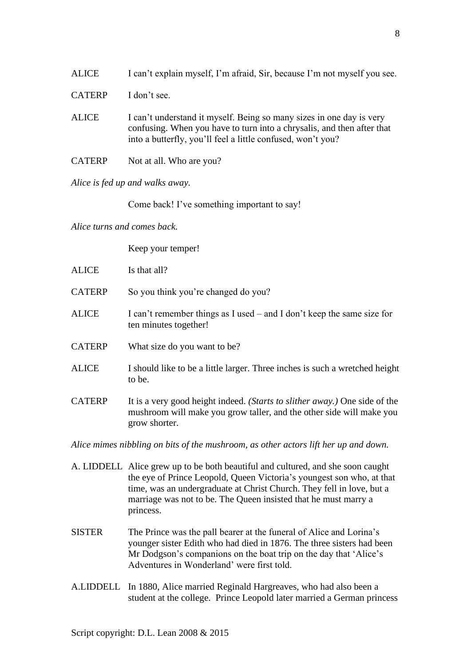| <b>ALICE</b>  | I can't explain myself, I'm afraid, Sir, because I'm not myself you see.                                                                                                                                      |
|---------------|---------------------------------------------------------------------------------------------------------------------------------------------------------------------------------------------------------------|
| <b>CATERP</b> | I don't see.                                                                                                                                                                                                  |
| <b>ALICE</b>  | I can't understand it myself. Being so many sizes in one day is very<br>confusing. When you have to turn into a chrysalis, and then after that<br>into a butterfly, you'll feel a little confused, won't you? |
| <b>CATERP</b> | Not at all. Who are you?                                                                                                                                                                                      |

*Alice is fed up and walks away.*

Come back! I've something important to say!

*Alice turns and comes back.*

Keep your temper!

| <b>ALICE</b>  | Is that all?                                                                                                                                                        |
|---------------|---------------------------------------------------------------------------------------------------------------------------------------------------------------------|
| <b>CATERP</b> | So you think you're changed do you?                                                                                                                                 |
| <b>ALICE</b>  | I can't remember things as I used $-$ and I don't keep the same size for<br>ten minutes together!                                                                   |
| <b>CATERP</b> | What size do you want to be?                                                                                                                                        |
| <b>ALICE</b>  | I should like to be a little larger. Three inches is such a wretched height<br>to be.                                                                               |
| <b>CATERP</b> | It is a very good height indeed. (Starts to slither away.) One side of the<br>mushroom will make you grow taller, and the other side will make you<br>grow shorter. |

*Alice mimes nibbling on bits of the mushroom, as other actors lift her up and down.*

- A. LIDDELL Alice grew up to be both beautiful and cultured, and she soon caught the eye of Prince Leopold, Queen Victoria's youngest son who, at that time, was an undergraduate at Christ Church. They fell in love, but a marriage was not to be. The Queen insisted that he must marry a princess.
- SISTER The Prince was the pall bearer at the funeral of Alice and Lorina's younger sister Edith who had died in 1876. The three sisters had been Mr Dodgson's companions on the boat trip on the day that 'Alice's Adventures in Wonderland' were first told.
- A.LIDDELL In 1880, Alice married Reginald Hargreaves, who had also been a student at the college. Prince Leopold later married a German princess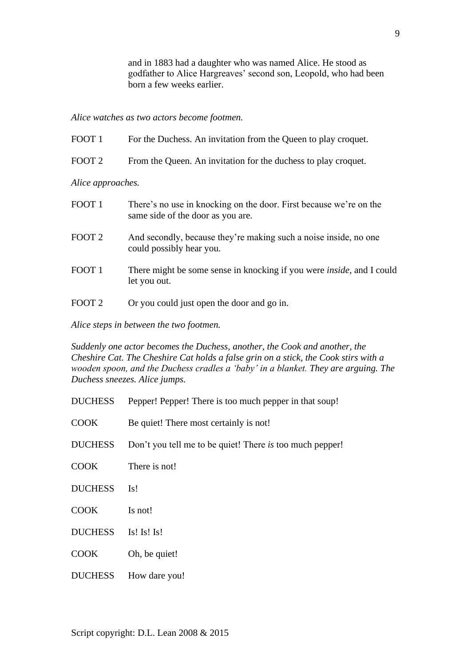and in 1883 had a daughter who was named Alice. He stood as godfather to Alice Hargreaves' second son, Leopold, who had been born a few weeks earlier.

*Alice watches as two actors become footmen.*

| FOOT <sub>1</sub> | For the Duchess. An invitation from the Queen to play croquet.                                          |  |
|-------------------|---------------------------------------------------------------------------------------------------------|--|
| FOOT <sub>2</sub> | From the Queen. An invitation for the duchess to play croquet.                                          |  |
| Alice approaches. |                                                                                                         |  |
| FOOT <sub>1</sub> | There's no use in knocking on the door. First because we're on the<br>same side of the door as you are. |  |
| FOOT <sub>2</sub> | And secondly, because they're making such a noise inside, no one<br>could possibly hear you.            |  |
| FOOT <sub>1</sub> | There might be some sense in knocking if you were <i>inside</i> , and I could<br>let you out.           |  |
| FOOT <sub>2</sub> | Or you could just open the door and go in.                                                              |  |

*Alice steps in between the two footmen.*

*Suddenly one actor becomes the Duchess, another, the Cook and another, the Cheshire Cat. The Cheshire Cat holds a false grin on a stick, the Cook stirs with a wooden spoon, and the Duchess cradles a 'baby' in a blanket. They are arguing. The Duchess sneezes. Alice jumps.*

- DUCHESS Pepper! Pepper! There is too much pepper in that soup!
- COOK Be quiet! There most certainly is not!
- DUCHESS Don't you tell me to be quiet! There *is* too much pepper!
- COOK There is not!
- DUCHESS Is!
- COOK Is not!
- DUCHESS Is! Is! Is!
- COOK Oh, be quiet!
- DUCHESS How dare you!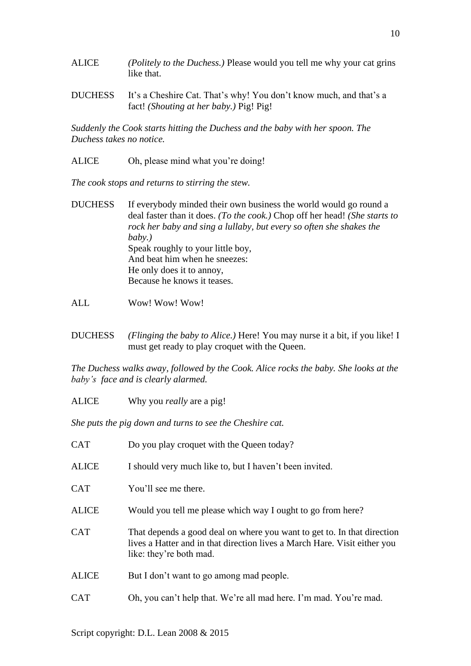- ALICE *(Politely to the Duchess.)* Please would you tell me why your cat grins like that.
- DUCHESS It's a Cheshire Cat. That's why! You don't know much, and that's a fact! *(Shouting at her baby.)* Pig! Pig!

*Suddenly the Cook starts hitting the Duchess and the baby with her spoon. The Duchess takes no notice.*

ALICE Oh, please mind what you're doing!

*The cook stops and returns to stirring the stew.*

- DUCHESS If everybody minded their own business the world would go round a deal faster than it does. *(To the cook.)* Chop off her head! *(She starts to rock her baby and sing a lullaby, but every so often she shakes the baby.)* Speak roughly to your little boy, And beat him when he sneezes: He only does it to annoy, Because he knows it teases.
- ALL Wow! Wow! Wow!
- DUCHESS *(Flinging the baby to Alice.)* Here! You may nurse it a bit, if you like! I must get ready to play croquet with the Queen.

*The Duchess walks away, followed by the Cook. Alice rocks the baby. She looks at the baby's face and is clearly alarmed.*

ALICE Why you *really* are a pig!

*She puts the pig down and turns to see the Cheshire cat.*

| <b>CAT</b>   | Do you play croquet with the Queen today?                                                                                                                                       |
|--------------|---------------------------------------------------------------------------------------------------------------------------------------------------------------------------------|
| <b>ALICE</b> | I should very much like to, but I haven't been invited.                                                                                                                         |
| <b>CAT</b>   | You'll see me there.                                                                                                                                                            |
| <b>ALICE</b> | Would you tell me please which way I ought to go from here?                                                                                                                     |
| <b>CAT</b>   | That depends a good deal on where you want to get to. In that direction<br>lives a Hatter and in that direction lives a March Hare. Visit either you<br>like: they're both mad. |
| <b>ALICE</b> | But I don't want to go among mad people.                                                                                                                                        |
| CAT          | Oh, you can't help that. We're all mad here. I'm mad. You're mad.                                                                                                               |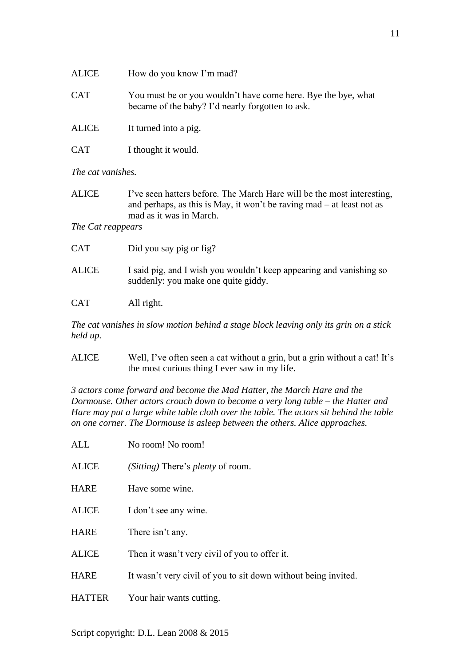| ALICE      | How do you know I'm mad?                                                                                          |
|------------|-------------------------------------------------------------------------------------------------------------------|
| <b>CAT</b> | You must be or you wouldn't have come here. Bye the bye, what<br>became of the baby? I'd nearly forgotten to ask. |
| ALICE      | It turned into a pig.                                                                                             |

CAT I thought it would.

*The cat vanishes.*

| ALICE | I've seen hatters before. The March Hare will be the most interesting,  |
|-------|-------------------------------------------------------------------------|
|       | and perhaps, as this is May, it won't be raving $mad - at least not as$ |
|       | mad as it was in March.                                                 |

*The Cat reappears*

| <b>CAT</b>   | Did you say pig or fig?                                                                                    |
|--------------|------------------------------------------------------------------------------------------------------------|
| <b>ALICE</b> | I said pig, and I wish you wouldn't keep appearing and vanishing so<br>suddenly: you make one quite giddy. |
| <b>CAT</b>   | All right.                                                                                                 |

*The cat vanishes in slow motion behind a stage block leaving only its grin on a stick held up.*

ALICE Well, I've often seen a cat without a grin, but a grin without a cat! It's the most curious thing I ever saw in my life.

*3 actors come forward and become the Mad Hatter, the March Hare and the Dormouse. Other actors crouch down to become a very long table – the Hatter and Hare may put a large white table cloth over the table. The actors sit behind the table on one corner. The Dormouse is asleep between the others. Alice approaches.*

| <b>ALL</b>    | No room! No room!                                              |
|---------------|----------------------------------------------------------------|
| <b>ALICE</b>  | ( <i>Sitting</i> ) There's <i>plenty</i> of room.              |
| <b>HARE</b>   | Have some wine.                                                |
| <b>ALICE</b>  | I don't see any wine.                                          |
| <b>HARE</b>   | There isn't any.                                               |
| <b>ALICE</b>  | Then it wasn't very civil of you to offer it.                  |
| <b>HARE</b>   | It wasn't very civil of you to sit down without being invited. |
| <b>HATTER</b> | Your hair wants cutting.                                       |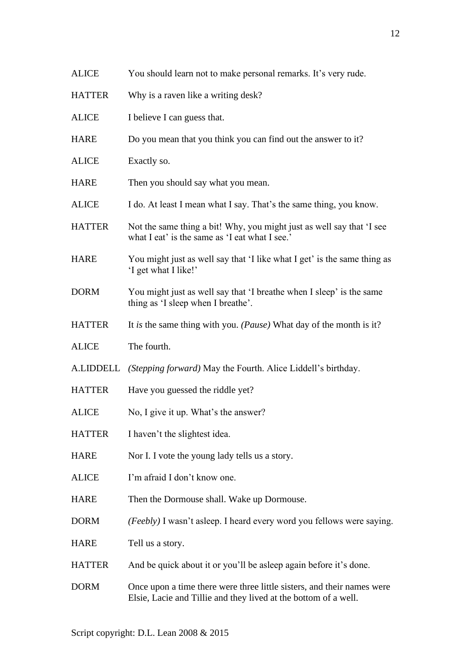| <b>ALICE</b>  | I believe I can guess that.                                                                                             |
|---------------|-------------------------------------------------------------------------------------------------------------------------|
| <b>HARE</b>   | Do you mean that you think you can find out the answer to it?                                                           |
| <b>ALICE</b>  | Exactly so.                                                                                                             |
| <b>HARE</b>   | Then you should say what you mean.                                                                                      |
| <b>ALICE</b>  | I do. At least I mean what I say. That's the same thing, you know.                                                      |
| <b>HATTER</b> | Not the same thing a bit! Why, you might just as well say that 'I see<br>what I eat' is the same as 'I eat what I see.' |
| <b>HARE</b>   | You might just as well say that 'I like what I get' is the same thing as<br>'I get what I like!'                        |
| <b>DORM</b>   | You might just as well say that 'I breathe when I sleep' is the same<br>thing as 'I sleep when I breathe'.              |
| <b>HATTER</b> | It is the same thing with you. ( <i>Pause</i> ) What day of the month is it?                                            |
| <b>ALICE</b>  | The fourth.                                                                                                             |
| A.LIDDELL     | ( <i>Stepping forward</i> ) May the Fourth. Alice Liddell's birthday.                                                   |
| <b>HATTER</b> | Have you guessed the riddle yet?                                                                                        |
| <b>ALICE</b>  | No, I give it up. What's the answer?                                                                                    |
| <b>HATTER</b> | I haven't the slightest idea.                                                                                           |
| <b>HARE</b>   | Nor I. I vote the young lady tells us a story.                                                                          |
| <b>ALICE</b>  | I'm afraid I don't know one.                                                                                            |
| <b>HARE</b>   | Then the Dormouse shall. Wake up Dormouse.                                                                              |
| <b>DORM</b>   | (Feebly) I wasn't asleep. I heard every word you fellows were saying.                                                   |
| <b>HARE</b>   | Tell us a story.                                                                                                        |
| <b>HATTER</b> | And be quick about it or you'll be asleep again before it's done.                                                       |

ALICE You should learn not to make personal remarks. It's very rude.

HATTER Why is a raven like a writing desk?

DORM Once upon a time there were three little sisters, and their names were Elsie, Lacie and Tillie and they lived at the bottom of a well.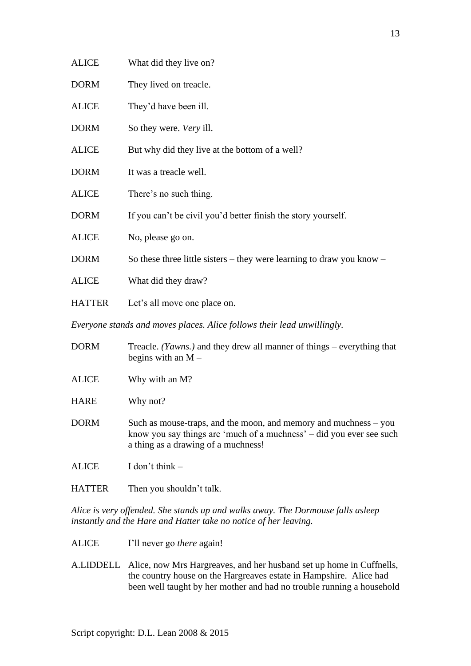| <b>ALICE</b>  | What did they live on?                                                |
|---------------|-----------------------------------------------------------------------|
| <b>DORM</b>   | They lived on treacle.                                                |
| <b>ALICE</b>  | They'd have been ill.                                                 |
| <b>DORM</b>   | So they were. <i>Very</i> ill.                                        |
| <b>ALICE</b>  | But why did they live at the bottom of a well?                        |
| <b>DORM</b>   | It was a treacle well.                                                |
| <b>ALICE</b>  | There's no such thing.                                                |
| <b>DORM</b>   | If you can't be civil you'd better finish the story yourself.         |
| <b>ALICE</b>  | No, please go on.                                                     |
| <b>DORM</b>   | So these three little sisters – they were learning to draw you know – |
| <b>ALICE</b>  | What did they draw?                                                   |
| <b>HATTER</b> | Let's all move one place on.                                          |
|               |                                                                       |

*Everyone stands and moves places. Alice follows their lead unwillingly.*

| <b>DORM</b>  | Treacle. <i>(Yawns.)</i> and they drew all manner of things – everything that<br>begins with an $M -$                                                                             |
|--------------|-----------------------------------------------------------------------------------------------------------------------------------------------------------------------------------|
| <b>ALICE</b> | Why with an M?                                                                                                                                                                    |
| <b>HARE</b>  | Why not?                                                                                                                                                                          |
| <b>DORM</b>  | Such as mouse-traps, and the moon, and memory and muchness $-$ you<br>know you say things are 'much of a muchness' – did you ever see such<br>a thing as a drawing of a muchness! |
| <b>ALICE</b> | I don't think $-$                                                                                                                                                                 |

HATTER Then you shouldn't talk.

*Alice is very offended. She stands up and walks away. The Dormouse falls asleep instantly and the Hare and Hatter take no notice of her leaving.*

- ALICE I'll never go *there* again!
- A.LIDDELL Alice, now Mrs Hargreaves, and her husband set up home in Cuffnells, the country house on the Hargreaves estate in Hampshire. Alice had been well taught by her mother and had no trouble running a household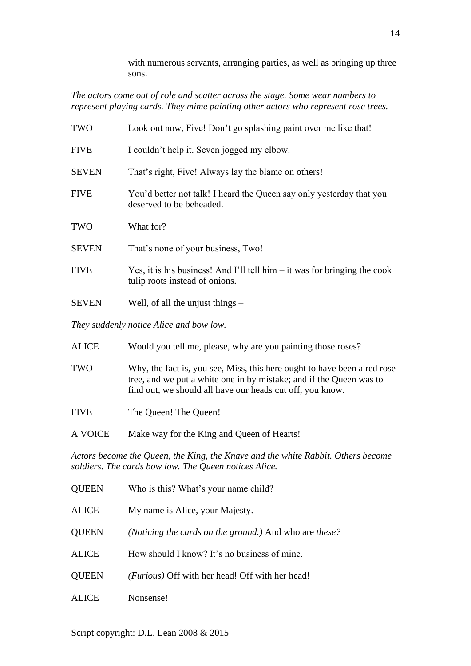with numerous servants, arranging parties, as well as bringing up three sons.

*The actors come out of role and scatter across the stage. Some wear numbers to represent playing cards. They mime painting other actors who represent rose trees.*

| TWO          | Look out now, Five! Don't go splashing paint over me like that!                                               |
|--------------|---------------------------------------------------------------------------------------------------------------|
| <b>FIVE</b>  | I couldn't help it. Seven jogged my elbow.                                                                    |
| <b>SEVEN</b> | That's right, Five! Always lay the blame on others!                                                           |
| <b>FIVE</b>  | You'd better not talk! I heard the Queen say only yesterday that you<br>deserved to be beheaded.              |
| TWO          | What for?                                                                                                     |
| <b>SEVEN</b> | That's none of your business, Two!                                                                            |
| <b>FIVE</b>  | Yes, it is his business! And I'll tell him $-$ it was for bringing the cook<br>tulip roots instead of onions. |
| <b>SEVEN</b> | Well, of all the unjust things $-$                                                                            |

*They suddenly notice Alice and bow low.*

| <b>ALICE</b> | Would you tell me, please, why are you painting those roses?                                                                                                                                                  |
|--------------|---------------------------------------------------------------------------------------------------------------------------------------------------------------------------------------------------------------|
| <b>TWO</b>   | Why, the fact is, you see, Miss, this here ought to have been a red rose-<br>tree, and we put a white one in by mistake; and if the Queen was to<br>find out, we should all have our heads cut off, you know. |
| <b>FIVE</b>  | The Queen! The Queen!                                                                                                                                                                                         |
| A VOICE      | Make way for the King and Queen of Hearts!                                                                                                                                                                    |
|              | Actors become the Queen, the King, the Knave and the white Rabbit, Others become                                                                                                                              |

*Actors become the Queen, the King, the Knave and the white Rabbit. Others become soldiers. The cards bow low. The Queen notices Alice.*

| <b>QUEEN</b> | Who is this? What's your name child?                                   |
|--------------|------------------------------------------------------------------------|
| <b>ALICE</b> | My name is Alice, your Majesty.                                        |
| <b>QUEEN</b> | ( <i>Noticing the cards on the ground.</i> ) And who are <i>these?</i> |
| <b>ALICE</b> | How should I know? It's no business of mine.                           |
| <b>QUEEN</b> | ( <i>Furious</i> ) Off with her head! Off with her head!               |
| <b>ALICE</b> | Nonsense!                                                              |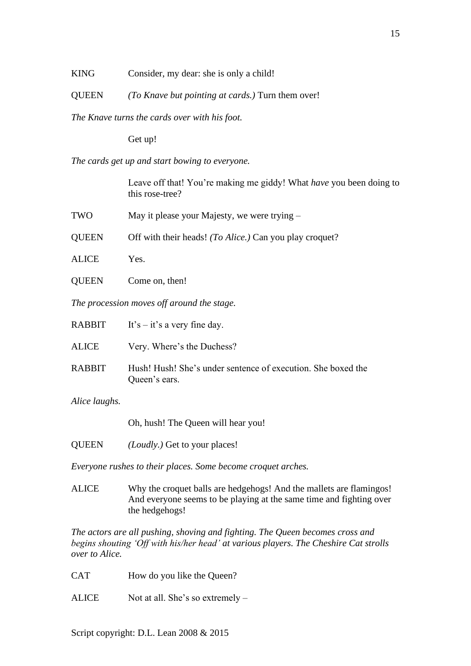KING Consider, my dear: she is only a child!

QUEEN *(To Knave but pointing at cards.)* Turn them over!

*The Knave turns the cards over with his foot.* 

Get up!

*The cards get up and start bowing to everyone.*

Leave off that! You're making me giddy! What *have* you been doing to this rose-tree?

| TWO | May it please your Majesty, we were trying – |
|-----|----------------------------------------------|
|-----|----------------------------------------------|

QUEEN Off with their heads! *(To Alice.)* Can you play croquet?

- ALICE Yes.
- QUEEN Come on, then!

*The procession moves off around the stage.*

|               | RABBIT It's $-$ it's a very fine day.                                         |
|---------------|-------------------------------------------------------------------------------|
| ALICE         | Very. Where's the Duchess?                                                    |
| <b>RABBIT</b> | Hush! Hush! She's under sentence of execution. She boxed the<br>Queen's ears. |

*Alice laughs.*

Oh, hush! The Queen will hear you!

QUEEN *(Loudly.)* Get to your places!

*Everyone rushes to their places. Some become croquet arches.*

ALICE Why the croquet balls are hedgehogs! And the mallets are flamingos! And everyone seems to be playing at the same time and fighting over the hedgehogs!

*The actors are all pushing, shoving and fighting. The Queen becomes cross and begins shouting 'Off with his/her head' at various players. The Cheshire Cat strolls over to Alice.*

CAT How do you like the Queen?

ALICE Not at all. She's so extremely –

Script copyright: D.L. Lean 2008 & 2015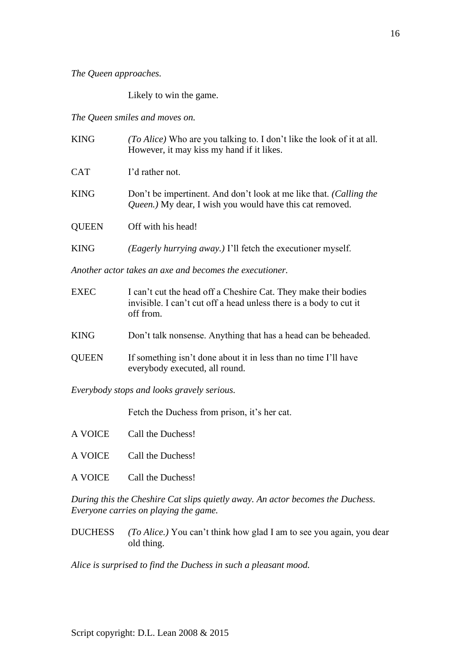*The Queen approaches.*

Likely to win the game.

*The Queen smiles and moves on.*

| <b>KING</b>  | (To Alice) Who are you talking to. I don't like the look of it at all.<br>However, it may kiss my hand if it likes.            |
|--------------|--------------------------------------------------------------------------------------------------------------------------------|
| <b>CAT</b>   | I'd rather not.                                                                                                                |
| <b>KING</b>  | Don't be impertinent. And don't look at me like that. (Calling the<br>Queen.) My dear, I wish you would have this cat removed. |
| <b>QUEEN</b> | Off with his head!                                                                                                             |
| <b>KING</b>  | <i>(Eagerly hurrying away.)</i> I'll fetch the executioner myself.                                                             |
|              | Another actor takes an axe and becomes the executioner.                                                                        |

| <b>EXEC</b>  | I can't cut the head off a Cheshire Cat. They make their bodies<br>invisible. I can't cut off a head unless there is a body to cut it<br>off from. |
|--------------|----------------------------------------------------------------------------------------------------------------------------------------------------|
| <b>KING</b>  | Don't talk nonsense. Anything that has a head can be beheaded.                                                                                     |
| <b>QUEEN</b> | If something isn't done about it in less than no time I'll have<br>everybody executed, all round.                                                  |

*Everybody stops and looks gravely serious.*

Fetch the Duchess from prison, it's her cat.

| A VOICE Call the Duchess!                                               |
|-------------------------------------------------------------------------|
| A VOICE Call the Duchess!                                               |
| A VOICE Call the Duchess!                                               |
| During this the Cheshire Cat slins quietly gway, An actor becomes the D |

*During this the Cheshire Cat slips quietly away. An actor becomes the Duchess. Everyone carries on playing the game.*

DUCHESS *(To Alice.)* You can't think how glad I am to see you again, you dear old thing.

*Alice is surprised to find the Duchess in such a pleasant mood.*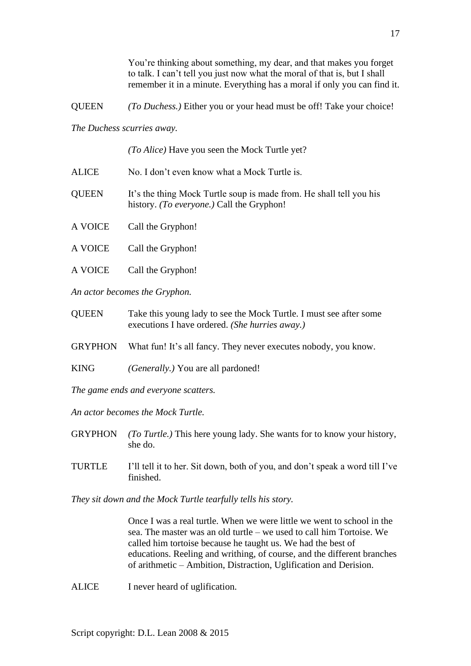You're thinking about something, my dear, and that makes you forget to talk. I can't tell you just now what the moral of that is, but I shall remember it in a minute. Everything has a moral if only you can find it.

QUEEN *(To Duchess.)* Either you or your head must be off! Take your choice!

*The Duchess scurries away.*

|              | (To Alice) Have you seen the Mock Turtle yet?                                                                             |
|--------------|---------------------------------------------------------------------------------------------------------------------------|
| <b>ALICE</b> | No. I don't even know what a Mock Turtle is.                                                                              |
| <b>QUEEN</b> | It's the thing Mock Turtle soup is made from. He shall tell you his<br>history. ( <i>To everyone.</i> ) Call the Gryphon! |
| A VOICE      | Call the Gryphon!                                                                                                         |
| A VOICE      | Call the Gryphon!                                                                                                         |
| A VOICE      | Call the Gryphon!                                                                                                         |

*An actor becomes the Gryphon.*

| <b>QUEEN</b> | Take this young lady to see the Mock Turtle. I must see after some |
|--------------|--------------------------------------------------------------------|
|              | executions I have ordered. (She hurries away.)                     |

GRYPHON What fun! It's all fancy. They never executes nobody, you know.

KING *(Generally.)* You are all pardoned!

*The game ends and everyone scatters.*

*An actor becomes the Mock Turtle.*

- GRYPHON *(To Turtle.)* This here young lady. She wants for to know your history, she do.
- TURTLE I'll tell it to her. Sit down, both of you, and don't speak a word till I've finished.

*They sit down and the Mock Turtle tearfully tells his story.*

Once I was a real turtle. When we were little we went to school in the sea. The master was an old turtle – we used to call him Tortoise. We called him tortoise because he taught us. We had the best of educations. Reeling and writhing, of course, and the different branches of arithmetic – Ambition, Distraction, Uglification and Derision.

ALICE I never heard of uglification.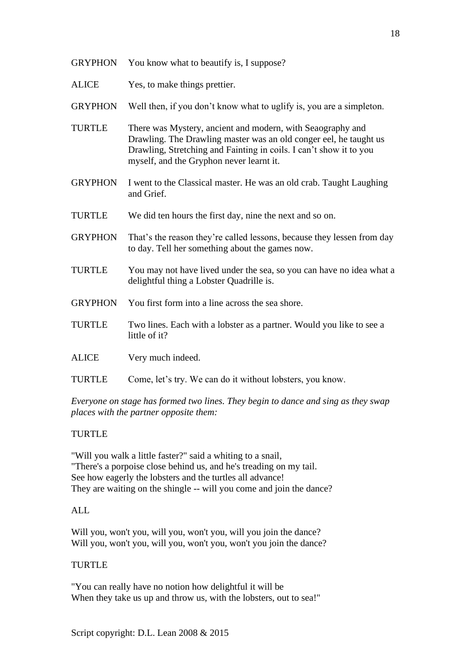- GRYPHON You know what to beautify is, I suppose?
- ALICE Yes, to make things prettier.
- GRYPHON Well then, if you don't know what to uglify is, you are a simpleton.
- TURTLE There was Mystery, ancient and modern, with Seaography and Drawling. The Drawling master was an old conger eel, he taught us Drawling, Stretching and Fainting in coils. I can't show it to you myself, and the Gryphon never learnt it.
- GRYPHON I went to the Classical master. He was an old crab. Taught Laughing and Grief.
- TURTLE We did ten hours the first day, nine the next and so on.
- GRYPHON That's the reason they're called lessons, because they lessen from day to day. Tell her something about the games now.
- TURTLE You may not have lived under the sea, so you can have no idea what a delightful thing a Lobster Quadrille is.
- GRYPHON You first form into a line across the sea shore.
- TURTLE Two lines. Each with a lobster as a partner. Would you like to see a little of it?
- ALICE Very much indeed.
- TURTLE Come, let's try. We can do it without lobsters, you know.

*Everyone on stage has formed two lines. They begin to dance and sing as they swap places with the partner opposite them:*

### TURTLE

"Will you walk a little faster?" said a whiting to a snail, "There's a porpoise close behind us, and he's treading on my tail. See how eagerly the lobsters and the turtles all advance! They are waiting on the shingle -- will you come and join the dance?

### ALL

Will you, won't you, will you, won't you, will you join the dance? Will you, won't you, will you, won't you, won't you join the dance?

#### TURTLE

"You can really have no notion how delightful it will be When they take us up and throw us, with the lobsters, out to sea!"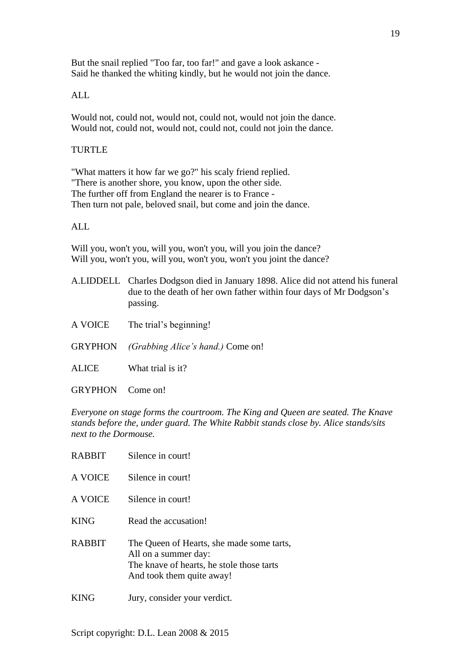But the snail replied "Too far, too far!" and gave a look askance - Said he thanked the whiting kindly, but he would not join the dance.

## ALL

Would not, could not, would not, could not, would not join the dance. Would not, could not, would not, could not, could not join the dance.

### TURTLE

"What matters it how far we go?" his scaly friend replied. "There is another shore, you know, upon the other side. The further off from England the nearer is to France - Then turn not pale, beloved snail, but come and join the dance.

# ALL

Will you, won't you, will you, won't you, will you join the dance? Will you, won't you, will you, won't you, won't you joint the dance?

- A.LIDDELL Charles Dodgson died in January 1898. Alice did not attend his funeral due to the death of her own father within four days of Mr Dodgson's passing.
- A VOICE The trial's beginning!
- GRYPHON *(Grabbing Alice's hand.)* Come on!
- ALICE What trial is it?
- GRYPHON Come on!

*Everyone on stage forms the courtroom. The King and Queen are seated. The Knave stands before the, under guard. The White Rabbit stands close by. Alice stands/sits next to the Dormouse.*

| <b>RABBIT</b> | Silence in court!                                                                                                                           |
|---------------|---------------------------------------------------------------------------------------------------------------------------------------------|
| A VOICE       | Silence in court!                                                                                                                           |
| A VOICE       | Silence in court!                                                                                                                           |
| <b>KING</b>   | Read the accusation!                                                                                                                        |
| <b>RABBIT</b> | The Queen of Hearts, she made some tarts,<br>All on a summer day:<br>The knave of hearts, he stole those tarts<br>And took them quite away! |
|               | Jury, consider your verdict.                                                                                                                |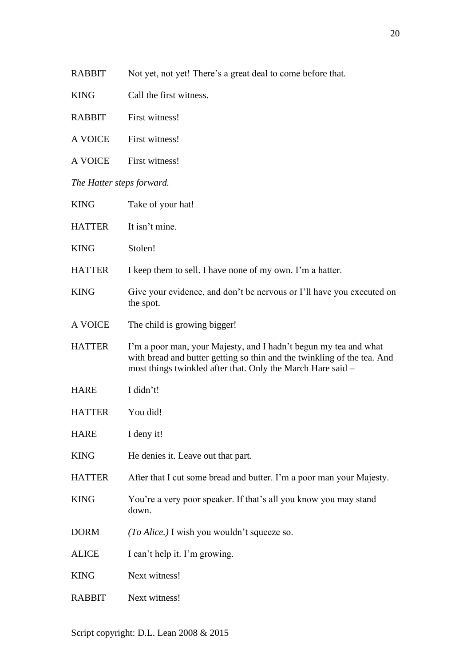- KING Call the first witness.
- RABBIT First witness!
- A VOICE First witness!
- A VOICE First witness!

*The Hatter steps forward.*

| <b>KING</b>   | Take of your hat!                                                                                                                                                                                          |
|---------------|------------------------------------------------------------------------------------------------------------------------------------------------------------------------------------------------------------|
| <b>HATTER</b> | It isn't mine.                                                                                                                                                                                             |
| <b>KING</b>   | Stolen!                                                                                                                                                                                                    |
| <b>HATTER</b> | I keep them to sell. I have none of my own. I'm a hatter.                                                                                                                                                  |
| <b>KING</b>   | Give your evidence, and don't be nervous or I'll have you executed on<br>the spot.                                                                                                                         |
| A VOICE       | The child is growing bigger!                                                                                                                                                                               |
| <b>HATTER</b> | I'm a poor man, your Majesty, and I hadn't begun my tea and what<br>with bread and butter getting so thin and the twinkling of the tea. And<br>most things twinkled after that. Only the March Hare said - |
| <b>HARE</b>   | I didn't!                                                                                                                                                                                                  |
| <b>HATTER</b> | You did!                                                                                                                                                                                                   |
| <b>HARE</b>   | I deny it!                                                                                                                                                                                                 |
| <b>KING</b>   | He denies it. Leave out that part.                                                                                                                                                                         |
| <b>HATTER</b> | After that I cut some bread and butter. I'm a poor man your Majesty.                                                                                                                                       |
| <b>KING</b>   | You're a very poor speaker. If that's all you know you may stand<br>down.                                                                                                                                  |
| <b>DORM</b>   | (To Alice.) I wish you wouldn't squeeze so.                                                                                                                                                                |
| <b>ALICE</b>  | I can't help it. I'm growing.                                                                                                                                                                              |
| <b>KING</b>   | Next witness!                                                                                                                                                                                              |
| <b>RABBIT</b> | Next witness!                                                                                                                                                                                              |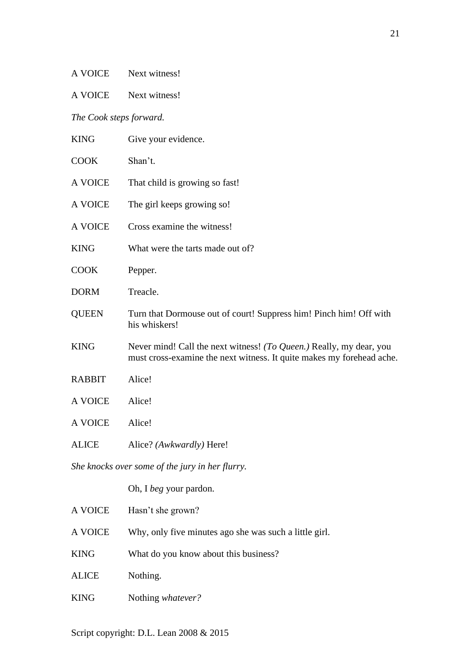| <b>A VOICE</b><br>Next witness! |
|---------------------------------|
|---------------------------------|

A VOICE Next witness!

*The Cook steps forward.*

| <b>KING</b>                                     | Give your evidence.                                                                                                                          |  |
|-------------------------------------------------|----------------------------------------------------------------------------------------------------------------------------------------------|--|
| <b>COOK</b>                                     | Shan't.                                                                                                                                      |  |
| A VOICE                                         | That child is growing so fast!                                                                                                               |  |
| A VOICE                                         | The girl keeps growing so!                                                                                                                   |  |
| A VOICE                                         | Cross examine the witness!                                                                                                                   |  |
| <b>KING</b>                                     | What were the tarts made out of?                                                                                                             |  |
| <b>COOK</b>                                     | Pepper.                                                                                                                                      |  |
| <b>DORM</b>                                     | Treacle.                                                                                                                                     |  |
| <b>QUEEN</b>                                    | Turn that Dormouse out of court! Suppress him! Pinch him! Off with<br>his whiskers!                                                          |  |
| <b>KING</b>                                     | Never mind! Call the next witness! (To Queen.) Really, my dear, you<br>must cross-examine the next witness. It quite makes my forehead ache. |  |
| <b>RABBIT</b>                                   | Alice!                                                                                                                                       |  |
| <b>A VOICE</b>                                  | Alice!                                                                                                                                       |  |
| A VOICE                                         | Alice!                                                                                                                                       |  |
| <b>ALICE</b>                                    | Alice? (Awkwardly) Here!                                                                                                                     |  |
| She knocks over some of the jury in her flurry. |                                                                                                                                              |  |
|                                                 | Oh, I beg your pardon.                                                                                                                       |  |
| A VOICE                                         | Hasn't she grown?                                                                                                                            |  |
| A VOICE                                         | Why, only five minutes ago she was such a little girl.                                                                                       |  |
| <b>KING</b>                                     | What do you know about this business?                                                                                                        |  |
| <b>ALICE</b>                                    | Nothing.                                                                                                                                     |  |

KING Nothing *whatever?*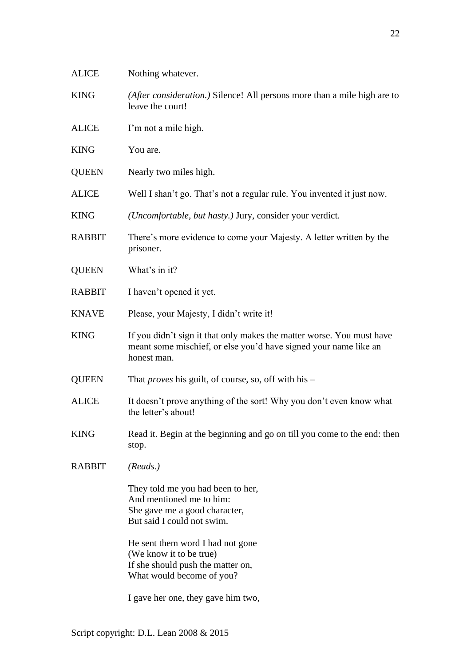| <b>ALICE</b>  | Nothing whatever.                                                                                                                                        |
|---------------|----------------------------------------------------------------------------------------------------------------------------------------------------------|
| <b>KING</b>   | (After consideration.) Silence! All persons more than a mile high are to<br>leave the court!                                                             |
| <b>ALICE</b>  | I'm not a mile high.                                                                                                                                     |
| <b>KING</b>   | You are.                                                                                                                                                 |
| <b>QUEEN</b>  | Nearly two miles high.                                                                                                                                   |
| <b>ALICE</b>  | Well I shan't go. That's not a regular rule. You invented it just now.                                                                                   |
| <b>KING</b>   | ( <i>Uncomfortable, but hasty.</i> ) Jury, consider your verdict.                                                                                        |
| <b>RABBIT</b> | There's more evidence to come your Majesty. A letter written by the<br>prisoner.                                                                         |
| <b>QUEEN</b>  | What's in it?                                                                                                                                            |
| <b>RABBIT</b> | I haven't opened it yet.                                                                                                                                 |
| <b>KNAVE</b>  | Please, your Majesty, I didn't write it!                                                                                                                 |
| <b>KING</b>   | If you didn't sign it that only makes the matter worse. You must have<br>meant some mischief, or else you'd have signed your name like an<br>honest man. |
| <b>QUEEN</b>  | That <i>proves</i> his guilt, of course, so, off with his –                                                                                              |
| <b>ALICE</b>  | It doesn't prove anything of the sort! Why you don't even know what<br>the letter's about!                                                               |
| <b>KING</b>   | Read it. Begin at the beginning and go on till you come to the end: then<br>stop.                                                                        |
| <b>RABBIT</b> | (Reads.)                                                                                                                                                 |
|               | They told me you had been to her,<br>And mentioned me to him:<br>She gave me a good character,<br>But said I could not swim.                             |
|               | He sent them word I had not gone<br>(We know it to be true)<br>If she should push the matter on,<br>What would become of you?                            |
|               | I gave her one, they gave him two,                                                                                                                       |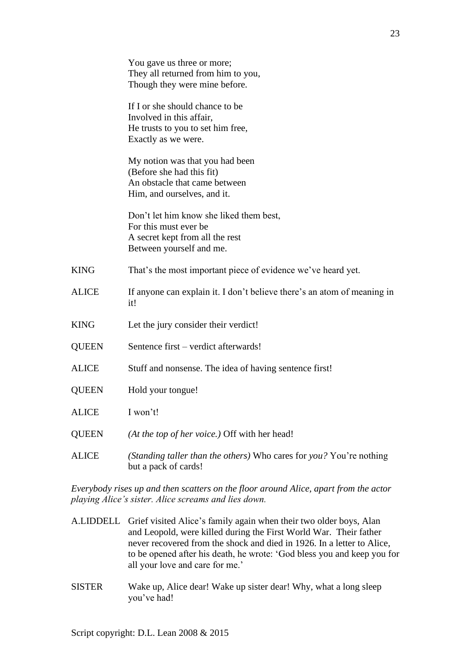|              | You gave us three or more;<br>They all returned from him to you,<br>Though they were mine before.                               |
|--------------|---------------------------------------------------------------------------------------------------------------------------------|
|              | If I or she should chance to be<br>Involved in this affair,<br>He trusts to you to set him free,<br>Exactly as we were.         |
|              | My notion was that you had been<br>(Before she had this fit)<br>An obstacle that came between<br>Him, and ourselves, and it.    |
|              | Don't let him know she liked them best,<br>For this must ever be<br>A secret kept from all the rest<br>Between yourself and me. |
| <b>KING</b>  | That's the most important piece of evidence we've heard yet.                                                                    |
| <b>ALICE</b> | If anyone can explain it. I don't believe there's an atom of meaning in<br>it!                                                  |
| <b>KING</b>  | Let the jury consider their verdict!                                                                                            |
| <b>QUEEN</b> | Sentence first – verdict afterwards!                                                                                            |
| <b>ALICE</b> | Stuff and nonsense. The idea of having sentence first!                                                                          |
| <b>QUEEN</b> | Hold your tongue!                                                                                                               |
| <b>ALICE</b> | I won't!                                                                                                                        |
| <b>QUEEN</b> | (At the top of her voice.) Off with her head!                                                                                   |
| <b>ALICE</b> | (Standing taller than the others) Who cares for you? You're nothing<br>but a pack of cards!                                     |

*Everybody rises up and then scatters on the floor around Alice, apart from the actor playing Alice's sister. Alice screams and lies down.*

- A.LIDDELL Grief visited Alice's family again when their two older boys, Alan and Leopold, were killed during the First World War. Their father never recovered from the shock and died in 1926. In a letter to Alice, to be opened after his death, he wrote: 'God bless you and keep you for all your love and care for me.'
- SISTER Wake up, Alice dear! Wake up sister dear! Why, what a long sleep you've had!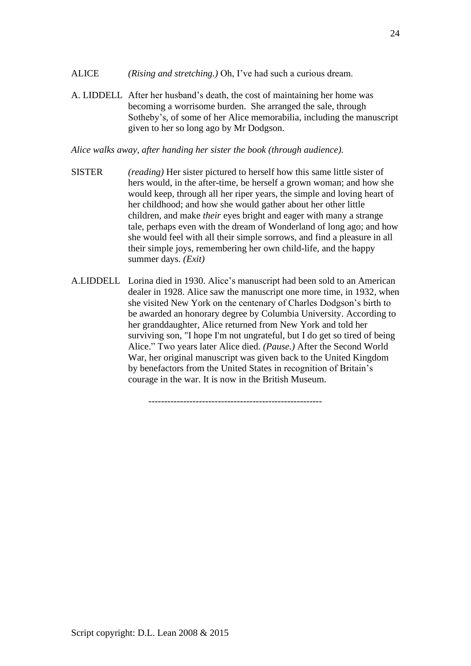- ALICE *(Rising and stretching.)* Oh, I've had such a curious dream.
- A. LIDDELL After her husband's death, the cost of maintaining her home was becoming a worrisome burden. She arranged the sale, through Sotheby's, of some of her Alice memorabilia, including the manuscript given to her so long ago by Mr Dodgson.

*Alice walks away, after handing her sister the book (through audience).*

- SISTER *(reading)* Her sister pictured to herself how this same little sister of hers would, in the after-time, be herself a grown woman; and how she would keep, through all her riper years, the simple and loving heart of her childhood; and how she would gather about her other little children, and make *their* eyes bright and eager with many a strange tale, perhaps even with the dream of Wonderland of long ago; and how she would feel with all their simple sorrows, and find a pleasure in all their simple joys, remembering her own child-life, and the happy summer days. *(Exit)*
- A.LIDDELL Lorina died in 1930. Alice's manuscript had been sold to an American dealer in 1928. Alice saw the manuscript one more time, in 1932, when she visited New York on the centenary of Charles Dodgson's birth to be awarded an honorary degree by Columbia University. According to her granddaughter, Alice returned from New York and told her surviving son, "I hope I'm not ungrateful, but I do get so tired of being Alice." Two years later Alice died. *(Pause.)* After the Second World War, her original manuscript was given back to the United Kingdom by benefactors from the United States in recognition of Britain's courage in the war. It is now in the British Museum.

-------------------------------------------------------